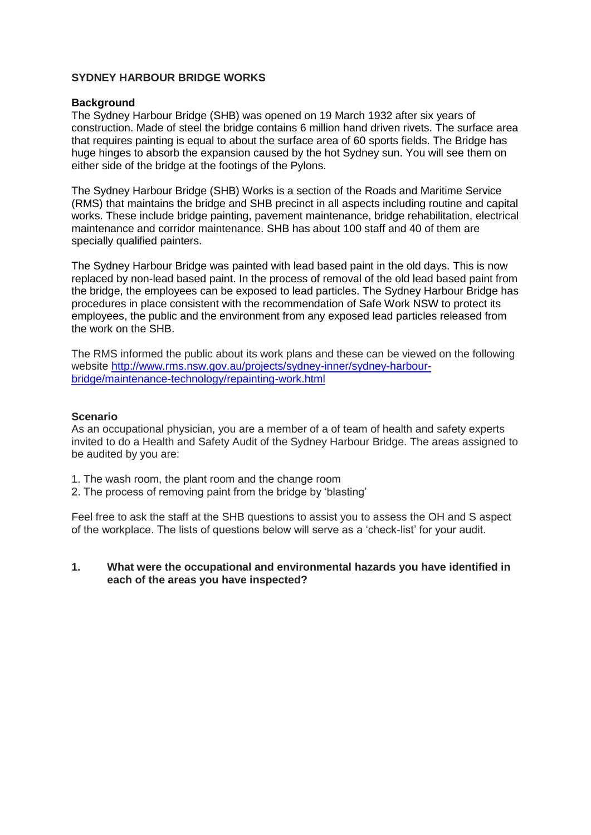#### **SYDNEY HARBOUR BRIDGE WORKS**

#### **Background**

[Th](http://pi.gids.nl:81/temp)e Sydney Harbour Bridge (SHB) was opened on 19 March 1932 after six years of construction. Made of steel the bridge contains 6 million hand driven rivets. The surface area that requires painting is equal to about the surface area of 60 sports fields. The Bridge has huge hinges to absorb the expansion caused by the hot Sydney sun. You will see them on either side of the bridge at the footings of the Pylons.

The Sydney Harbour Bridge (SHB) Works is a section of the Roads and Maritime Service (RMS) that maintains the bridge and SHB precinct in all aspects including routine and capital works. These include bridge painting, pavement maintenance, bridge rehabilitation, electrical maintenance and corridor maintenance. SHB has about 100 staff and 40 of them are specially qualified painters.

The Sydney Harbour Bridge was painted with lead based paint in the old days. This is now replaced by non-lead based paint. In the process of removal of the old lead based paint from the bridge, the employees can be exposed to lead particles. The Sydney Harbour Bridge has procedures in place consistent with the recommendation of Safe Work NSW to protect its employees, the public and the environment from any exposed lead particles released from the work on the SHB.

The RMS informed the public about its work plans and these can be viewed on the following website [http://www.rms.nsw.gov.au/projects/sydney-inner/sydney-harbour](http://www.rms.nsw.gov.au/projects/sydney-inner/sydney-harbour-bridge/maintenance-technology/repainting-work.html)[bridge/maintenance-technology/repainting-work.html](http://www.rms.nsw.gov.au/projects/sydney-inner/sydney-harbour-bridge/maintenance-technology/repainting-work.html)

#### **Scenario**

As an occupational physician, you are a member of a of team of health and safety experts invited to do a Health and Safety Audit of the Sydney Harbour Bridge. The areas assigned to be audited by you are:

- 1. The wash room, the plant room and the change room
- 2. The process of removing paint from the bridge by 'blasting'

Feel free to ask the staff at the SHB questions to assist you to assess the OH and S aspect of the workplace. The lists of questions below will serve as a 'check-list' for your audit.

**1. What were the occupational and environmental hazards you have identified in each of the areas you have inspected?**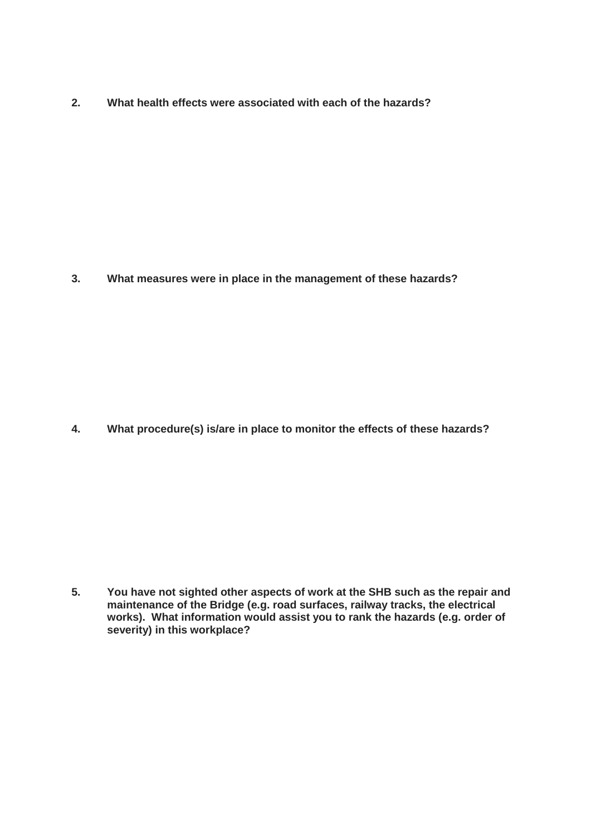**2. What health effects were associated with each of the hazards?**

**3. What measures were in place in the management of these hazards?**

**4. What procedure(s) is/are in place to monitor the effects of these hazards?**

**5. You have not sighted other aspects of work at the SHB such as the repair and maintenance of the Bridge (e.g. road surfaces, railway tracks, the electrical works). What information would assist you to rank the hazards (e.g. order of severity) in this workplace?**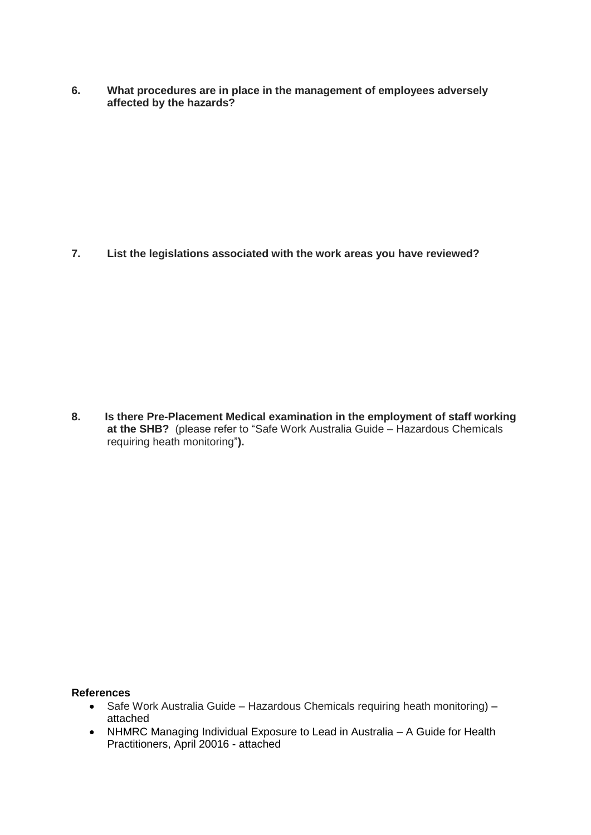**6. What procedures are in place in the management of employees adversely affected by the hazards?**

**7. List the legislations associated with the work areas you have reviewed?**

**8. Is there Pre-Placement Medical examination in the employment of staff working at the SHB?** (please refer to "Safe Work Australia Guide – Hazardous Chemicals requiring heath monitoring"**).**

### **References**

- Safe Work Australia Guide Hazardous Chemicals requiring heath monitoring) attached
- NHMRC Managing Individual Exposure to Lead in Australia A Guide for Health Practitioners, April 20016 - attached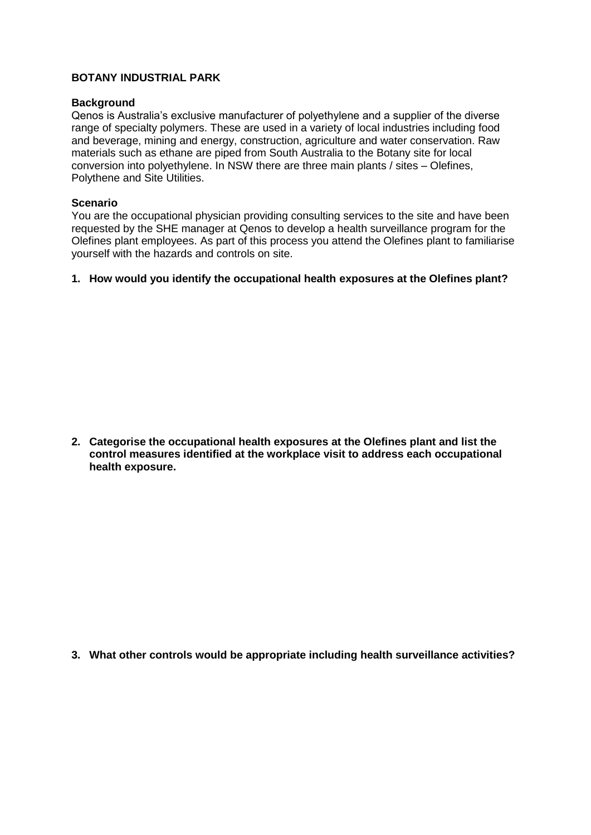### **BOTANY INDUSTRIAL PARK**

#### **Background**

Qenos is Australia's exclusive manufacturer of polyethylene and a supplier of the diverse range of specialty polymers. These are used in a variety of local industries including food and beverage, mining and energy, construction, agriculture and water conservation. Raw materials such as ethane are piped from South Australia to the Botany site for local conversion into polyethylene. In NSW there are three main plants / sites – Olefines, Polythene and Site Utilities.

#### **Scenario**

You are the occupational physician providing consulting services to the site and have been requested by the SHE manager at Qenos to develop a health surveillance program for the Olefines plant employees. As part of this process you attend the Olefines plant to familiarise yourself with the hazards and controls on site.

#### **1. How would you identify the occupational health exposures at the Olefines plant?**

**2. Categorise the occupational health exposures at the Olefines plant and list the control measures identified at the workplace visit to address each occupational health exposure.**

**3. What other controls would be appropriate including health surveillance activities?**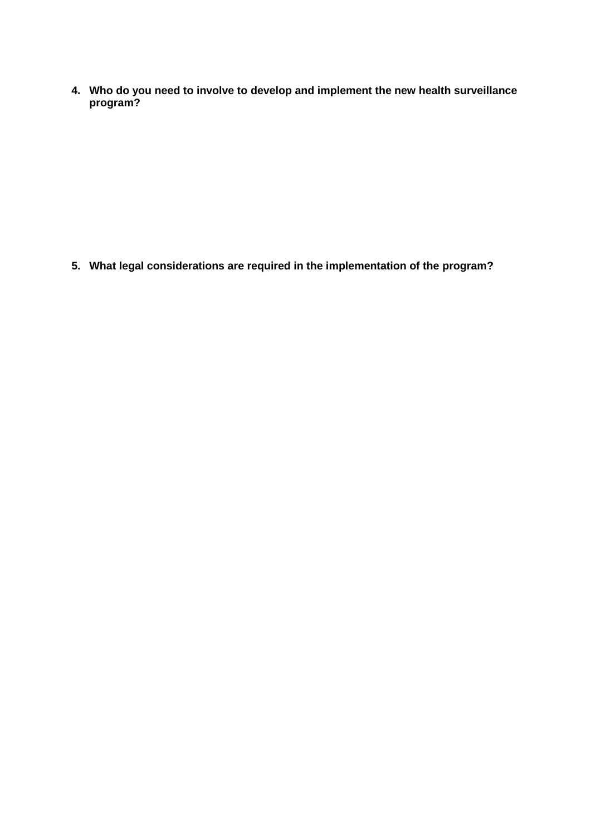**4. Who do you need to involve to develop and implement the new health surveillance program?**

**5. What legal considerations are required in the implementation of the program?**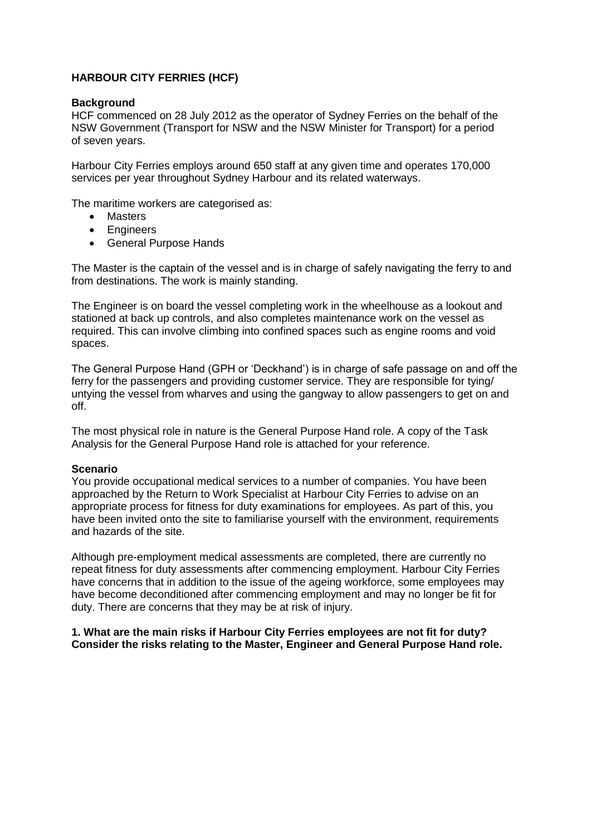### **HARBOUR CITY FERRIES (HCF)**

#### **Background**

HCF commenced on 28 July 2012 as the operator of Sydney Ferries on the behalf of the NSW Government (Transport for NSW and the NSW Minister for Transport) for a period of seven years.

Harbour City Ferries employs around 650 staff at any given time and operates 170,000 services per year throughout Sydney Harbour and its related waterways.

The maritime workers are categorised as:

- Masters
- Engineers
- General Purpose Hands

The Master is the captain of the vessel and is in charge of safely navigating the ferry to and from destinations. The work is mainly standing.

The Engineer is on board the vessel completing work in the wheelhouse as a lookout and stationed at back up controls, and also completes maintenance work on the vessel as required. This can involve climbing into confined spaces such as engine rooms and void spaces.

The General Purpose Hand (GPH or 'Deckhand') is in charge of safe passage on and off the ferry for the passengers and providing customer service. They are responsible for tying/ untying the vessel from wharves and using the gangway to allow passengers to get on and off.

The most physical role in nature is the General Purpose Hand role. A copy of the Task Analysis for the General Purpose Hand role is attached for your reference.

### **Scenario**

You provide occupational medical services to a number of companies. You have been approached by the Return to Work Specialist at Harbour City Ferries to advise on an appropriate process for fitness for duty examinations for employees. As part of this, you have been invited onto the site to familiarise yourself with the environment, requirements and hazards of the site.

Although pre-employment medical assessments are completed, there are currently no repeat fitness for duty assessments after commencing employment. Harbour City Ferries have concerns that in addition to the issue of the ageing workforce, some employees may have become deconditioned after commencing employment and may no longer be fit for duty. There are concerns that they may be at risk of injury.

**1. What are the main risks if Harbour City Ferries employees are not fit for duty? Consider the risks relating to the Master, Engineer and General Purpose Hand role.**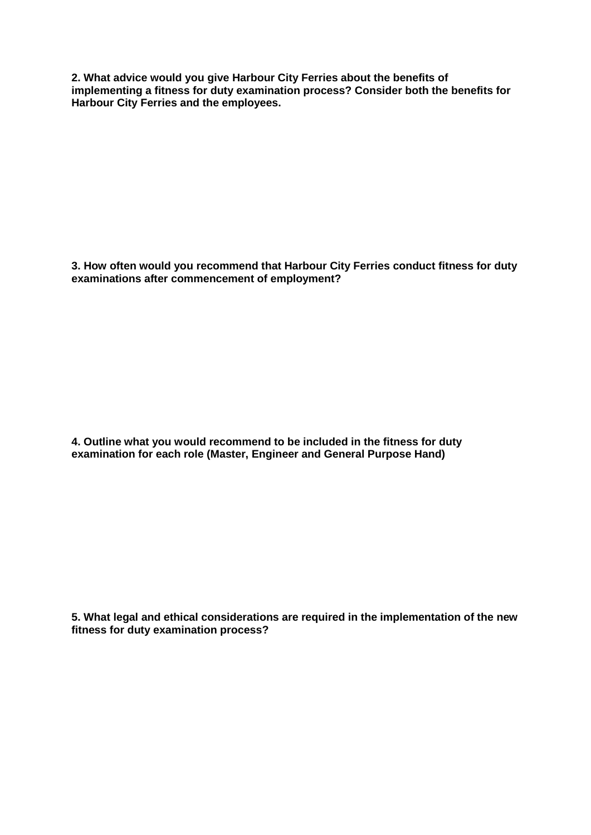**2. What advice would you give Harbour City Ferries about the benefits of implementing a fitness for duty examination process? Consider both the benefits for Harbour City Ferries and the employees.** 

**3. How often would you recommend that Harbour City Ferries conduct fitness for duty examinations after commencement of employment?** 

**4. Outline what you would recommend to be included in the fitness for duty examination for each role (Master, Engineer and General Purpose Hand)** 

**5. What legal and ethical considerations are required in the implementation of the new fitness for duty examination process?**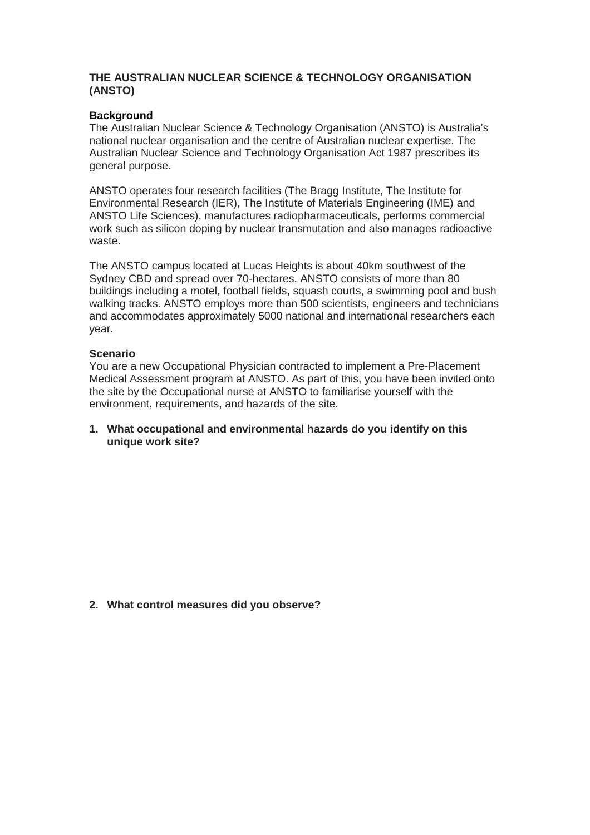#### **THE AUSTRALIAN NUCLEAR SCIENCE & TECHNOLOGY ORGANISATION (ANSTO)**

#### **Background**

The Australian Nuclear Science & Technology Organisation (ANSTO) is Australia's national nuclear organisation and the centre of Australian nuclear expertise. The Australian Nuclear Science and Technology Organisation Act 1987 prescribes its general purpose.

ANSTO operates four research facilities (The Bragg Institute, The Institute for Environmental Research (IER), The Institute of Materials Engineering (IME) and ANSTO Life Sciences), manufactures [radiopharmaceuticals,](https://en.wikipedia.org/wiki/Radiopharmaceuticals) performs commercial work such as silicon doping by [nuclear transmutation](https://en.wikipedia.org/wiki/Nuclear_transmutation) and also manages radioactive waste.

The ANSTO campus located at Lucas Heights is about 40km southwest of the Sydney CBD and spread over 70-hectares. ANSTO consists of more than 80 buildings including a motel, football fields, squash courts, a swimming pool and bush walking tracks. ANSTO employs more than 500 scientists, engineers and technicians and accommodates approximately 5000 national and international researchers each year.

#### **Scenario**

You are a new Occupational Physician contracted to implement a Pre-Placement Medical Assessment program at ANSTO. As part of this, you have been invited onto the site by the Occupational nurse at ANSTO to familiarise yourself with the environment, requirements, and hazards of the site.

**1. What occupational and environmental hazards do you identify on this unique work site?**

**2. What control measures did you observe?**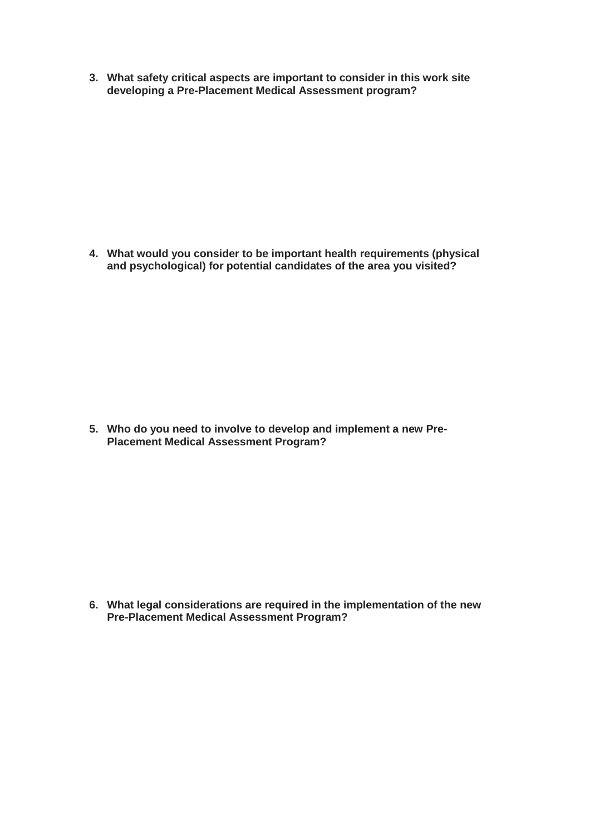**3. What safety critical aspects are important to consider in this work site developing a Pre-Placement Medical Assessment program?**

**4. What would you consider to be important health requirements (physical and psychological) for potential candidates of the area you visited?**

**5. Who do you need to involve to develop and implement a new Pre-Placement Medical Assessment Program?**

**6. What legal considerations are required in the implementation of the new Pre-Placement Medical Assessment Program?**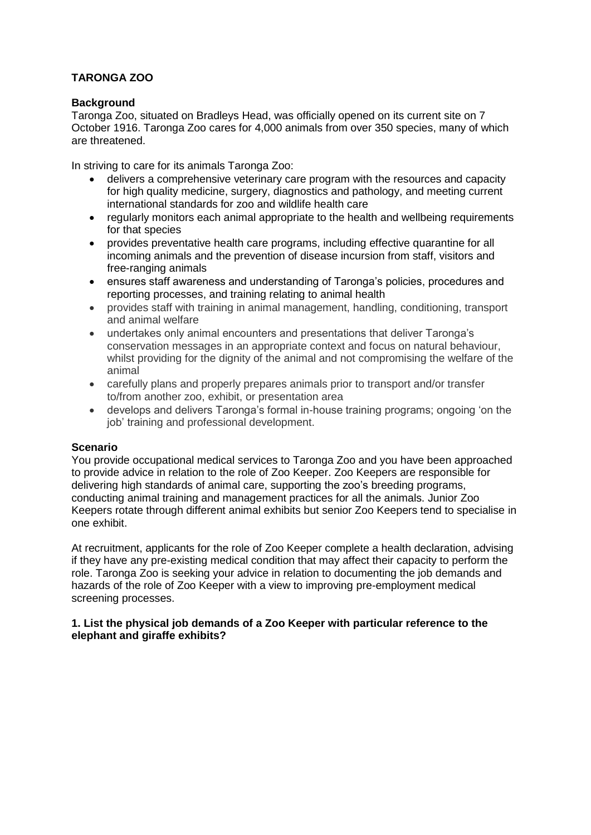## **TARONGA ZOO**

### **Background**

Taronga Zoo, situated on Bradleys Head, was officially opened on its current site on 7 October 1916. Taronga Zoo cares for 4,000 animals from over 350 species, many of which are threatened.

In striving to care for its animals Taronga Zoo:

- delivers a comprehensive veterinary care program with the resources and capacity for high quality medicine, surgery, diagnostics and pathology, and meeting current international standards for zoo and wildlife health care
- regularly monitors each animal appropriate to the health and wellbeing requirements for that species
- provides preventative health care programs, including effective quarantine for all incoming animals and the prevention of disease incursion from staff, visitors and free-ranging animals
- ensures staff awareness and understanding of Taronga's policies, procedures and reporting processes, and training relating to animal health
- provides staff with training in animal management, handling, conditioning, transport and animal welfare
- undertakes only animal encounters and presentations that deliver Taronga's conservation messages in an appropriate context and focus on natural behaviour, whilst providing for the dignity of the animal and not compromising the welfare of the animal
- carefully plans and properly prepares animals prior to transport and/or transfer to/from another zoo, exhibit, or presentation area
- develops and delivers Taronga's formal in-house training programs; ongoing 'on the job' training and professional development.

### **Scenario**

You provide occupational medical services to Taronga Zoo and you have been approached to provide advice in relation to the role of Zoo Keeper. Zoo Keepers are responsible for delivering high standards of animal care, supporting the zoo's breeding programs, conducting animal training and management practices for all the animals. Junior Zoo Keepers rotate through different animal exhibits but senior Zoo Keepers tend to specialise in one exhibit.

At recruitment, applicants for the role of Zoo Keeper complete a health declaration, advising if they have any pre-existing medical condition that may affect their capacity to perform the role. Taronga Zoo is seeking your advice in relation to documenting the job demands and hazards of the role of Zoo Keeper with a view to improving pre-employment medical screening processes.

### **1. List the physical job demands of a Zoo Keeper with particular reference to the elephant and giraffe exhibits?**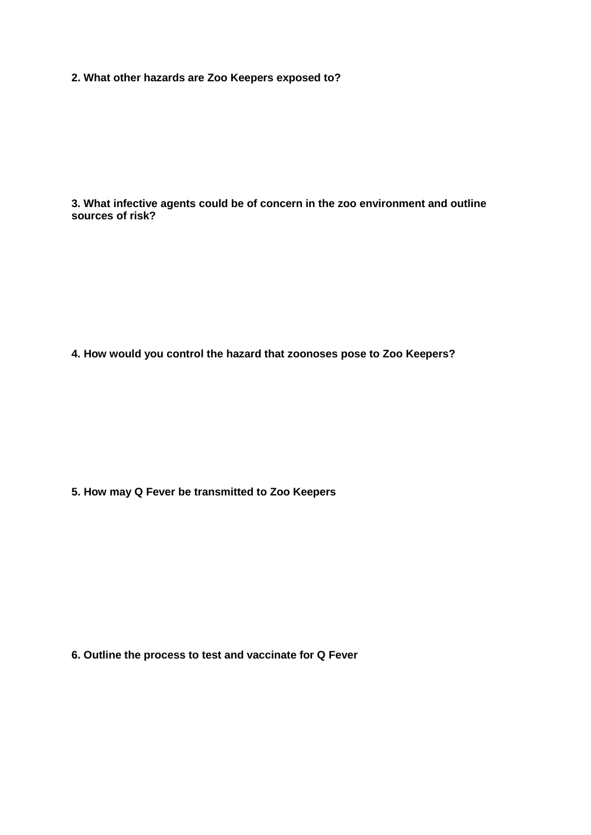**2. What other hazards are Zoo Keepers exposed to?**

**3. What infective agents could be of concern in the zoo environment and outline sources of risk?**

**4. How would you control the hazard that zoonoses pose to Zoo Keepers?**

**5. How may Q Fever be transmitted to Zoo Keepers**

**6. Outline the process to test and vaccinate for Q Fever**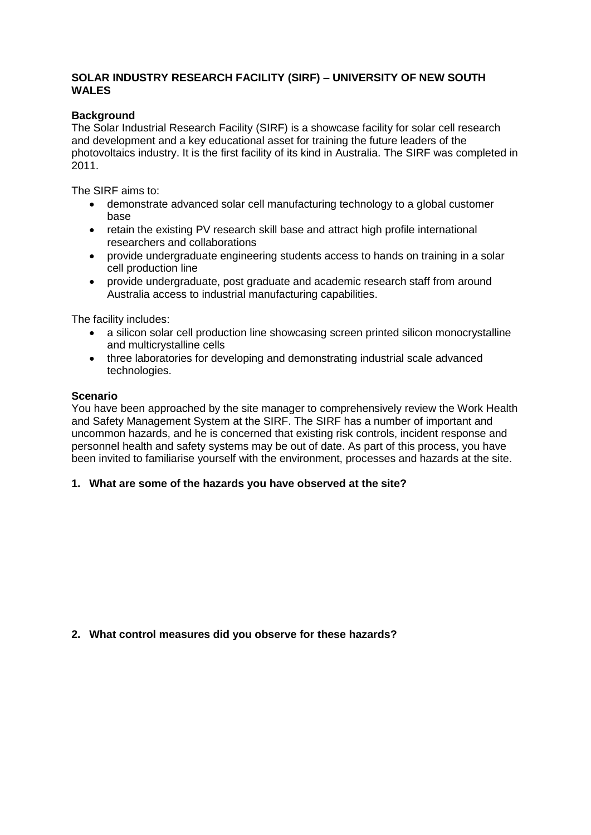### **SOLAR INDUSTRY RESEARCH FACILITY (SIRF) – UNIVERSITY OF NEW SOUTH WALES**

### **Background**

The Solar Industrial Research Facility (SIRF) is a showcase facility for solar cell research and development and a key educational asset for training the future leaders of the photovoltaics industry. It is the first facility of its kind in Australia. The SIRF was completed in 2011.

The SIRF aims to:

- demonstrate advanced solar cell manufacturing technology to a global customer base
- retain the existing PV research skill base and attract high profile international researchers and collaborations
- provide undergraduate engineering students access to hands on training in a solar cell production line
- provide undergraduate, post graduate and academic research staff from around Australia access to industrial manufacturing capabilities.

The facility includes:

- a silicon solar cell production line showcasing screen printed silicon monocrystalline and multicrystalline cells
- three laboratories for developing and demonstrating industrial scale advanced technologies.

#### **Scenario**

You have been approached by the site manager to comprehensively review the Work Health and Safety Management System at the SIRF. The SIRF has a number of important and uncommon hazards, and he is concerned that existing risk controls, incident response and personnel health and safety systems may be out of date. As part of this process, you have been invited to familiarise yourself with the environment, processes and hazards at the site.

### **1. What are some of the hazards you have observed at the site?**

#### **2. What control measures did you observe for these hazards?**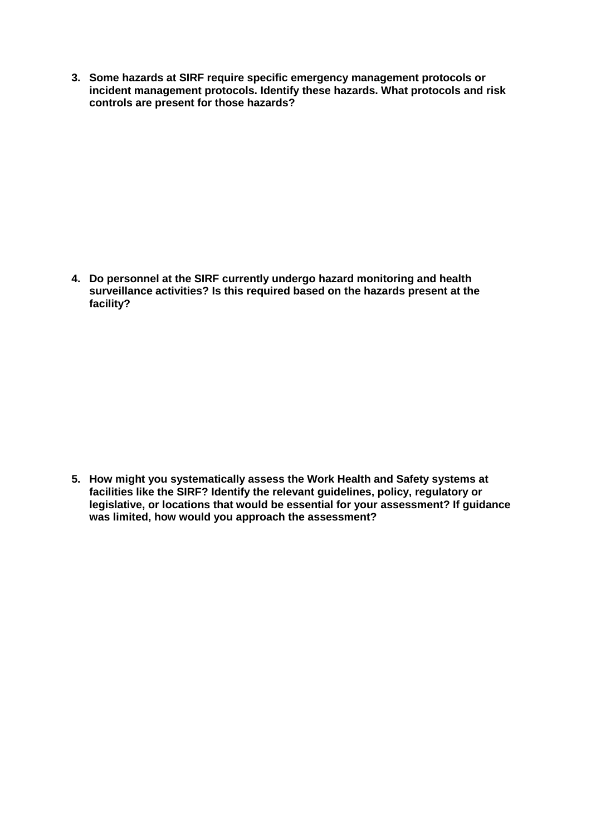**3. Some hazards at SIRF require specific emergency management protocols or incident management protocols. Identify these hazards. What protocols and risk controls are present for those hazards?**

**4. Do personnel at the SIRF currently undergo hazard monitoring and health surveillance activities? Is this required based on the hazards present at the facility?**

**5. How might you systematically assess the Work Health and Safety systems at facilities like the SIRF? Identify the relevant guidelines, policy, regulatory or legislative, or locations that would be essential for your assessment? If guidance was limited, how would you approach the assessment?**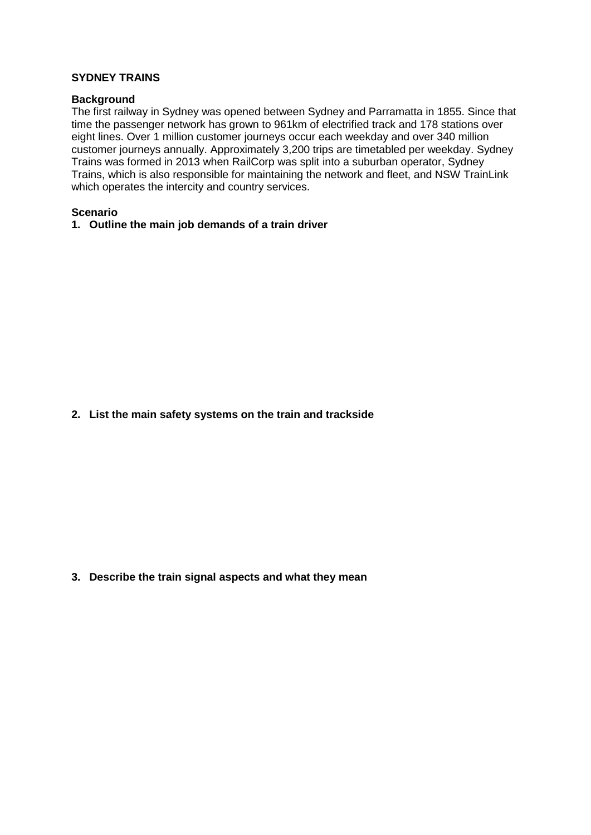#### **SYDNEY TRAINS**

#### **Background**

The first railway in Sydney was opened between Sydney and Parramatta in 1855. Since that time the passenger network has grown to 961km of electrified track and 178 stations over eight lines. Over 1 million customer journeys occur each weekday and over 340 million customer journeys annually. Approximately 3,200 trips are timetabled per weekday. Sydney Trains was formed in 2013 when RailCorp was split into a suburban operator, Sydney Trains, which is also responsible for maintaining the network and fleet, and NSW TrainLink which operates the intercity and country services.

#### **Scenario**

#### **1. Outline the main job demands of a train driver**

**2. List the main safety systems on the train and trackside**

**3. Describe the train signal aspects and what they mean**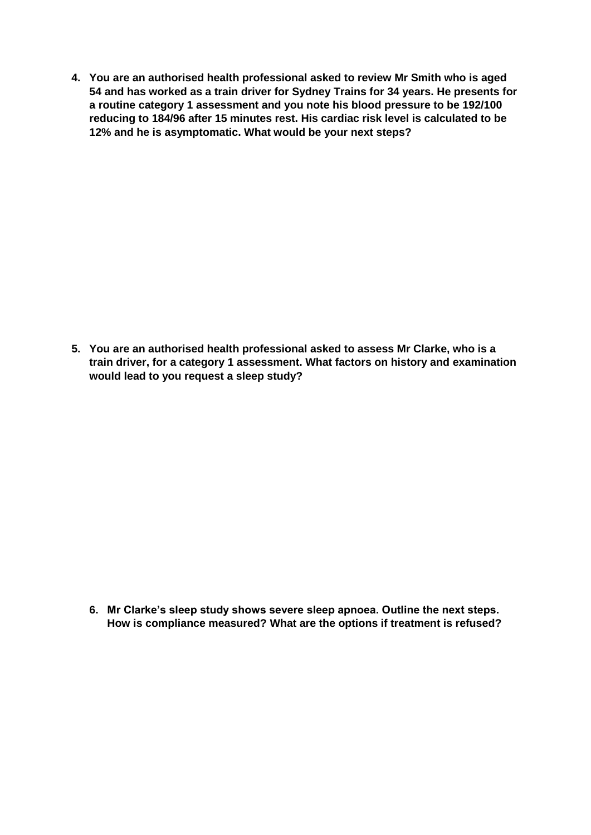**4. You are an authorised health professional asked to review Mr Smith who is aged 54 and has worked as a train driver for Sydney Trains for 34 years. He presents for a routine category 1 assessment and you note his blood pressure to be 192/100 reducing to 184/96 after 15 minutes rest. His cardiac risk level is calculated to be 12% and he is asymptomatic. What would be your next steps?**

**5. You are an authorised health professional asked to assess Mr Clarke, who is a train driver, for a category 1 assessment. What factors on history and examination would lead to you request a sleep study?**

**6. Mr Clarke's sleep study shows severe sleep apnoea. Outline the next steps. How is compliance measured? What are the options if treatment is refused?**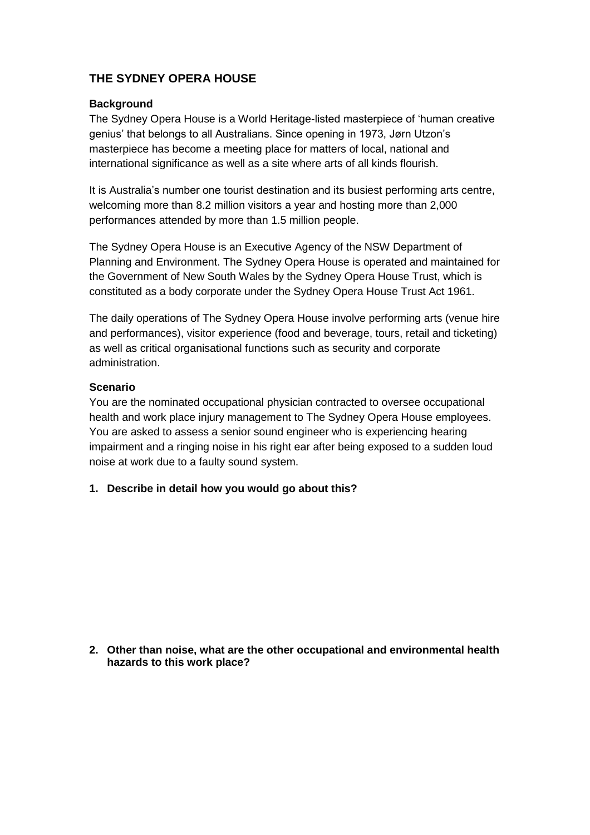# **THE SYDNEY OPERA HOUSE**

### **Background**

The Sydney Opera House is a World Heritage-listed masterpiece of 'human creative genius' that belongs to all Australians. Since opening in 1973, Jørn Utzon's masterpiece has become a meeting place for matters of local, national and international significance as well as a site where arts of all kinds flourish.

It is Australia's number one tourist destination and its busiest performing arts centre, welcoming more than 8.2 million visitors a year and hosting more than 2,000 performances attended by more than 1.5 million people.

The Sydney Opera House is an Executive Agency of the NSW Department of Planning and Environment. The Sydney Opera House is operated and maintained for the Government of New South Wales by the Sydney Opera House Trust, which is constituted as a body corporate under the Sydney Opera House Trust Act 1961.

The daily operations of The Sydney Opera House involve performing arts (venue hire and performances), visitor experience (food and beverage, tours, retail and ticketing) as well as critical organisational functions such as security and corporate administration.

### **Scenario**

You are the nominated occupational physician contracted to oversee occupational health and work place injury management to The Sydney Opera House employees. You are asked to assess a senior sound engineer who is experiencing hearing impairment and a ringing noise in his right ear after being exposed to a sudden loud noise at work due to a faulty sound system.

**1. Describe in detail how you would go about this?** 

**2. Other than noise, what are the other occupational and environmental health hazards to this work place?**